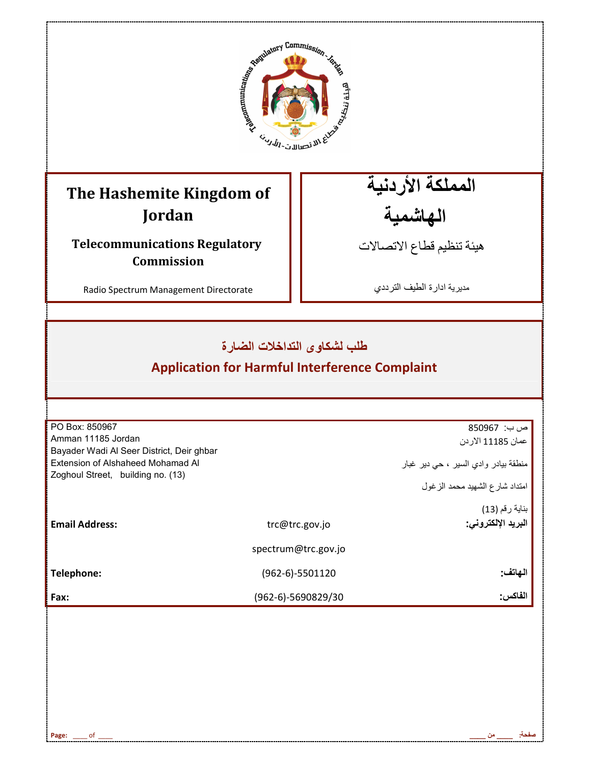

# **The Hashemite Kingdom of Jordan**

**Telecommunications Regulatory Commission** 

Radio Spectrum Management Directorate

المملكة الأردنية الهاشمية

هيئة تنظيم قطاع الاتصـالات

مديرية ادارة الطيف الترددي

### طلب لشكاوى التداخلات الضارة

## **Application for Harmful Interference Complaint**

| PO Box: 850967                            |                     | ص ب: 850967                          |
|-------------------------------------------|---------------------|--------------------------------------|
| Amman 11185 Jordan                        |                     | عمان 11185 الاردن                    |
| Bayader Wadi Al Seer District, Deir ghbar |                     |                                      |
| Extension of Alshaheed Mohamad Al         |                     | منطقة بيادر وادي السير ، حي دير غبار |
| Zoghoul Street, building no. (13)         |                     | امتداد شارع الشهيد محمد الزغول       |
|                                           |                     | بناية رقم (13)                       |
| <b>Email Address:</b>                     | trc@trc.gov.jo      | البريد الإلكتروني:                   |
|                                           | spectrum@trc.gov.jo |                                      |
| Telephone:                                | $(962-6)-5501120$   | الـهاتف:                             |
| Fax:                                      | (962-6)-5690829/30  | الفاكس:                              |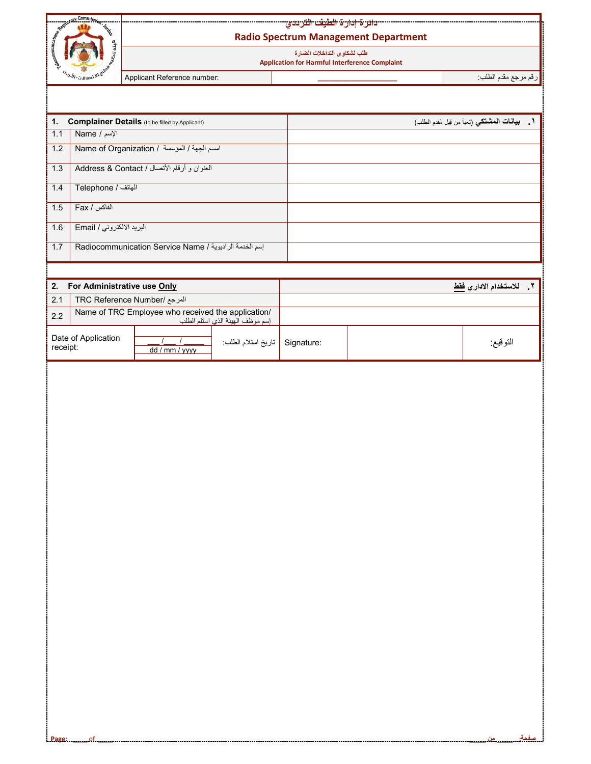

Ť

#### <mark>دائرة إدارة الطيف الترددي</mark> **Radio Spectrum Management Department**

طلب لشكاو *ى* التداخلات الضار ة  **Application for Harmful Interference Complaint**

رNم رRS Fدم اطQب: **\_\_\_\_\_\_\_\_\_\_\_\_\_\_\_\_\_\_\_\_\_\_** :number Reference Applicant

| $\mathbf{1}$    | <b>Complainer Details</b> (to be filled by Applicant)  | 1. بيانات المشتكي (تعبأ من قِبل مُقدم الطلب) |
|-----------------|--------------------------------------------------------|----------------------------------------------|
| $\parallel$ 1.1 | الإسم / Name                                           |                                              |
| $\sqrt{1.2}$    | اسم الجهة / المؤسسة / Name of Organization             |                                              |
| $\sqrt{1.3}$    | العنوان و أرقام الأتصال / Address & Contact            |                                              |
| $\sqrt{1.4}$    | الهاتف / Telephone                                     |                                              |
| $\vert$ 1.5     | الفاكس / Fax                                           |                                              |
| $\vert$ 1.6     | البريد الالكتروني / Email                              |                                              |
| $\sqrt{1.7}$    | إسم الخدمة الراديوية / Radiocommunication Service Name |                                              |

| For Administrative use Only<br>2. |                                                                                        |                |                    | للاستخدام الادار  فقط |          |
|-----------------------------------|----------------------------------------------------------------------------------------|----------------|--------------------|-----------------------|----------|
| 2.1                               | المرجع /TRC Reference Number                                                           |                |                    |                       |          |
| 2.2                               | Name of TRC Employee who received the application/<br>إسم موظف الهيئة الذي استلم الطلب |                |                    |                       |          |
| Date of Application<br>receipt:   |                                                                                        | dd / mm / yyyy | تاريخ استلام الطلب | Signature:            | التوقيع: |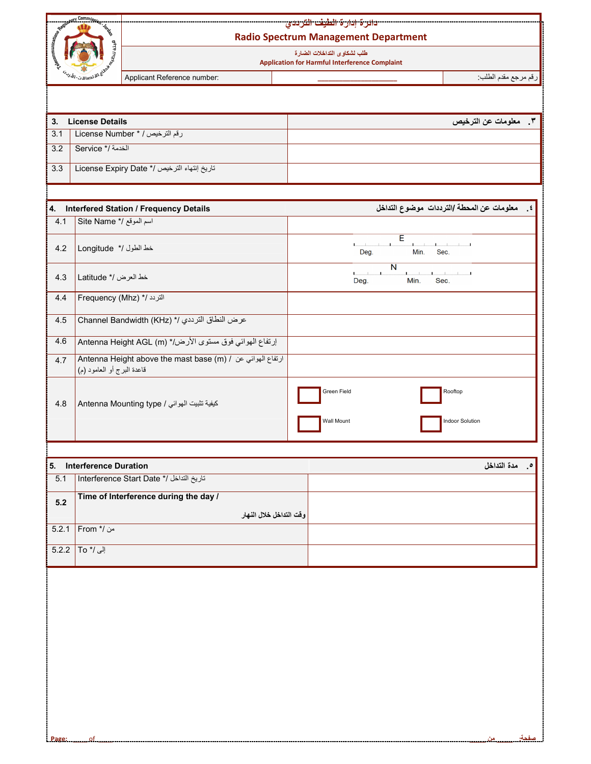| CONTRACTOR CONTRACTOR<br>ع الاقتصالات-ال <sup>ل</sup> / |                            | <mark>- دائرة إدارة الطيف الترددي</mark><br><b>Radio Spectrum Management Department</b>          |                                                         |  |  |  |
|---------------------------------------------------------|----------------------------|--------------------------------------------------------------------------------------------------|---------------------------------------------------------|--|--|--|
|                                                         |                            | طلب لشكاوى التداخلات الضارة<br><b>Application for Harmful Interference Complaint</b>             |                                                         |  |  |  |
|                                                         |                            | Applicant Reference number:                                                                      | رقم مرجع مقدم الطلب                                     |  |  |  |
|                                                         |                            |                                                                                                  |                                                         |  |  |  |
| 3.                                                      | <b>License Details</b>     |                                                                                                  | ٣. معلومات عن الترخيص                                   |  |  |  |
| 3.1                                                     |                            | License Number * / رقم الترخيص                                                                   |                                                         |  |  |  |
| 3.2                                                     | Service */ نخدمة /*        |                                                                                                  |                                                         |  |  |  |
| 3.3                                                     |                            | تاريخ إنتهاء الترخيص /* License Expiry Date                                                      |                                                         |  |  |  |
|                                                         |                            |                                                                                                  |                                                         |  |  |  |
| 4.<br>4.1                                               | Site Name */ اسم الموقع /* | <b>Interfered Station / Frequency Details</b>                                                    | ٤. معلومات عن المحطة /الترددات موضوع التداخل            |  |  |  |
|                                                         |                            |                                                                                                  | Έ                                                       |  |  |  |
| 4.2                                                     | خط الطول /* Longitude      |                                                                                                  | Min.<br>Sec.<br>Deg.                                    |  |  |  |
| 4.3                                                     | خط العرض /* Latitude       |                                                                                                  | N<br>Min.<br>Deg.<br>Sec.                               |  |  |  |
| 4.4                                                     |                            | Frequency (Mhz) */ التردد /*                                                                     |                                                         |  |  |  |
| 4.5                                                     |                            | عرض النطاق الترددي /* (Channel Bandwidth (KHz                                                    |                                                         |  |  |  |
| 4.6                                                     |                            | إرتفاع الهوائي فوق مستوى الأرض/* (Antenna Height AGL (m                                          |                                                         |  |  |  |
| 4.7                                                     | قاعدة البرج أو العامود (م) | Antenna Height above the mast base (m) / ارتفاع المهوائي عن / Antenna Height above the mast base |                                                         |  |  |  |
| 4.8                                                     |                            | Antenna Mounting type / كيفية تثبيت الهوائي                                                      | Green Field<br>Rooftop<br>Wall Mount<br>Indoor Solution |  |  |  |
|                                                         |                            |                                                                                                  |                                                         |  |  |  |
| $\overline{5.1}$                                        | 5. Interference Duration   | Interference Start Date */ التداخل /*                                                            | مدة التداخل                                             |  |  |  |
| $5.2$                                                   |                            | Time of Interference during the day /                                                            |                                                         |  |  |  |
|                                                         |                            | وقت التداخل خلال النهار                                                                          |                                                         |  |  |  |
| 5.2.1                                                   | من /* From                 |                                                                                                  |                                                         |  |  |  |
| 5.2.2                                                   | آلی /* To                  |                                                                                                  |                                                         |  |  |  |
|                                                         |                            |                                                                                                  |                                                         |  |  |  |
|                                                         |                            |                                                                                                  |                                                         |  |  |  |
|                                                         |                            |                                                                                                  |                                                         |  |  |  |
|                                                         |                            |                                                                                                  |                                                         |  |  |  |
|                                                         |                            |                                                                                                  |                                                         |  |  |  |
|                                                         |                            |                                                                                                  |                                                         |  |  |  |
|                                                         |                            |                                                                                                  |                                                         |  |  |  |
|                                                         |                            |                                                                                                  |                                                         |  |  |  |
|                                                         |                            |                                                                                                  |                                                         |  |  |  |
| Page:                                                   | .of                        |                                                                                                  |                                                         |  |  |  |